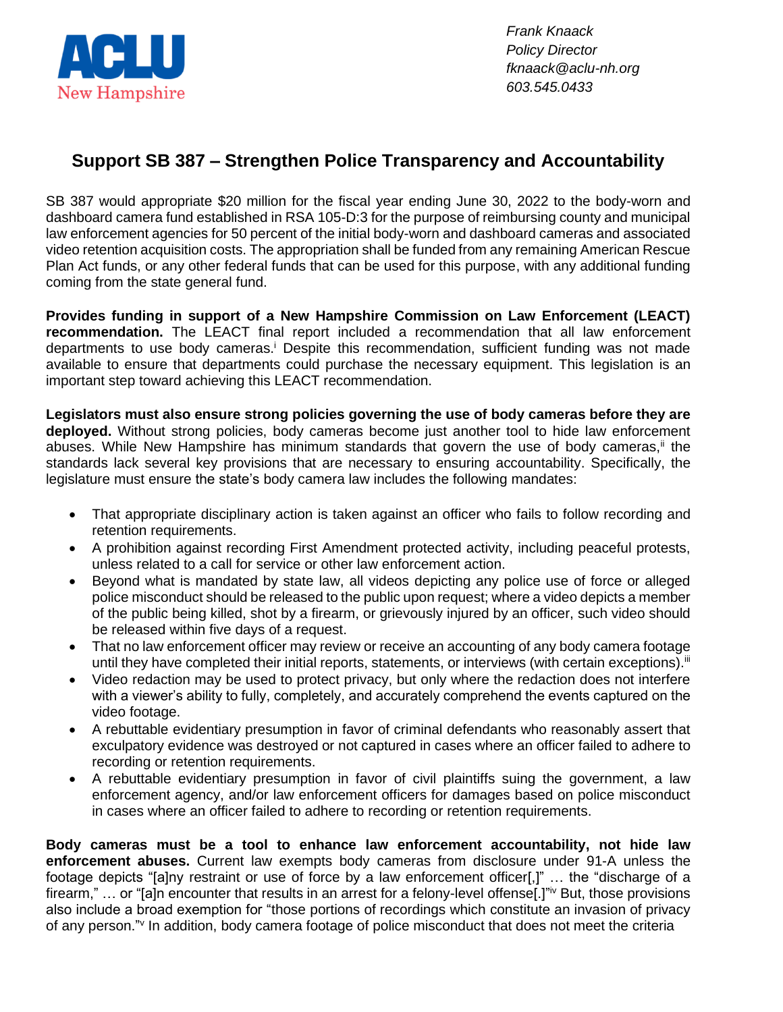

*Frank Knaack Policy Director fknaack@aclu-nh.org 603.545.0433*

## **Support SB 387 – Strengthen Police Transparency and Accountability**

SB 387 would appropriate \$20 million for the fiscal year ending June 30, 2022 to the body-worn and dashboard camera fund established in RSA 105-D:3 for the purpose of reimbursing county and municipal law enforcement agencies for 50 percent of the initial body-worn and dashboard cameras and associated video retention acquisition costs. The appropriation shall be funded from any remaining American Rescue Plan Act funds, or any other federal funds that can be used for this purpose, with any additional funding coming from the state general fund.

**Provides funding in support of a New Hampshire Commission on Law Enforcement (LEACT) recommendation.** The LEACT final report included a recommendation that all law enforcement departments to use body cameras.<sup>i</sup> Despite this recommendation, sufficient funding was not made available to ensure that departments could purchase the necessary equipment. This legislation is an important step toward achieving this LEACT recommendation.

**Legislators must also ensure strong policies governing the use of body cameras before they are deployed.** Without strong policies, body cameras become just another tool to hide law enforcement abuses. While New Hampshire has minimum standards that govern the use of body cameras,  $\mathbf{u}$  the standards lack several key provisions that are necessary to ensuring accountability. Specifically, the legislature must ensure the state's body camera law includes the following mandates:

- That appropriate disciplinary action is taken against an officer who fails to follow recording and retention requirements.
- A prohibition against recording First Amendment protected activity, including peaceful protests, unless related to a call for service or other law enforcement action.
- Beyond what is mandated by state law, all videos depicting any police use of force or alleged police misconduct should be released to the public upon request; where a video depicts a member of the public being killed, shot by a firearm, or grievously injured by an officer, such video should be released within five days of a request.
- That no law enforcement officer may review or receive an accounting of any body camera footage until they have completed their initial reports, statements, or interviews (with certain exceptions).<sup>iif</sup>
- Video redaction may be used to protect privacy, but only where the redaction does not interfere with a viewer's ability to fully, completely, and accurately comprehend the events captured on the video footage.
- A rebuttable evidentiary presumption in favor of criminal defendants who reasonably assert that exculpatory evidence was destroyed or not captured in cases where an officer failed to adhere to recording or retention requirements.
- A rebuttable evidentiary presumption in favor of civil plaintiffs suing the government, a law enforcement agency, and/or law enforcement officers for damages based on police misconduct in cases where an officer failed to adhere to recording or retention requirements.

**Body cameras must be a tool to enhance law enforcement accountability, not hide law enforcement abuses.** Current law exempts body cameras from disclosure under 91-A unless the footage depicts "[a]ny restraint or use of force by a law enforcement officer[,]" … the "discharge of a firearm," ... or "[a]n encounter that results in an arrest for a felony-level offense[.]"<sup>iv</sup> But, those provisions also include a broad exemption for "those portions of recordings which constitute an invasion of privacy of any person." In addition, body camera footage of police misconduct that does not meet the criteria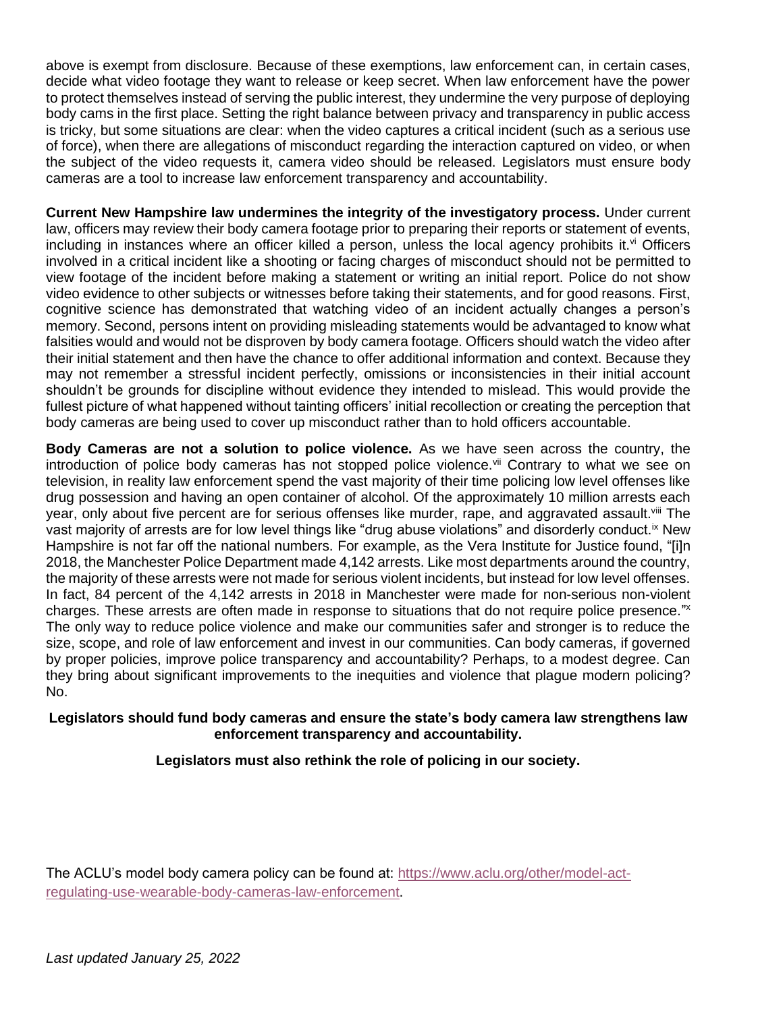above is exempt from disclosure. Because of these exemptions, law enforcement can, in certain cases, decide what video footage they want to release or keep secret. When law enforcement have the power to protect themselves instead of serving the public interest, they undermine the very purpose of deploying body cams in the first place. Setting the right balance between privacy and transparency in public access is tricky, but some situations are clear: when the video captures a critical incident (such as a serious use of force), when there are allegations of misconduct regarding the interaction captured on video, or when the subject of the video requests it, camera video should be released. Legislators must ensure body cameras are a tool to increase law enforcement transparency and accountability.

**Current New Hampshire law undermines the integrity of the investigatory process.** Under current law, officers may review their body camera footage prior to preparing their reports or statement of events, including in instances where an officer killed a person, unless the local agency prohibits it. $\vee$  Officers involved in a critical incident like a shooting or facing charges of misconduct should not be permitted to view footage of the incident before making a statement or writing an initial report. Police do not show video evidence to other subjects or witnesses before taking their statements, and for good reasons. First, cognitive science has demonstrated that watching video of an incident actually changes a person's memory. Second, persons intent on providing misleading statements would be advantaged to know what falsities would and would not be disproven by body camera footage. Officers should watch the video after their initial statement and then have the chance to offer additional information and context. Because they may not remember a stressful incident perfectly, omissions or inconsistencies in their initial account shouldn't be grounds for discipline without evidence they intended to mislead. This would provide the fullest picture of what happened without tainting officers' initial recollection or creating the perception that body cameras are being used to cover up misconduct rather than to hold officers accountable.

**Body Cameras are not a solution to police violence.** As we have seen across the country, the introduction of police body cameras has not stopped police violence. Vii Contrary to what we see on television, in reality law enforcement spend the vast majority of their time policing low level offenses like drug possession and having an open container of alcohol. Of the approximately 10 million arrests each year, only about five percent are for serious offenses like murder, rape, and aggravated assault. Vill The vast majority of arrests are for low level things like "drug abuse violations" and disorderly conduct. <sup>ix</sup> New Hampshire is not far off the national numbers. For example, as the Vera Institute for Justice found, "[i]n 2018, the Manchester Police Department made 4,142 arrests. Like most departments around the country, the majority of these arrests were not made for serious violent incidents, but instead for low level offenses. In fact, 84 percent of the 4,142 arrests in 2018 in Manchester were made for non-serious non-violent charges. These arrests are often made in response to situations that do not require police presence." x The only way to reduce police violence and make our communities safer and stronger is to reduce the size, scope, and role of law enforcement and invest in our communities. Can body cameras, if governed by proper policies, improve police transparency and accountability? Perhaps, to a modest degree. Can they bring about significant improvements to the inequities and violence that plague modern policing? No.

## **Legislators should fund body cameras and ensure the state's body camera law strengthens law enforcement transparency and accountability.**

## **Legislators must also rethink the role of policing in our society.**

The ACLU's model body camera policy can be found at: [https://www.aclu.org/other/model-act](https://www.aclu.org/other/model-act-regulating-use-wearable-body-cameras-law-enforcement)[regulating-use-wearable-body-cameras-law-enforcement.](https://www.aclu.org/other/model-act-regulating-use-wearable-body-cameras-law-enforcement)